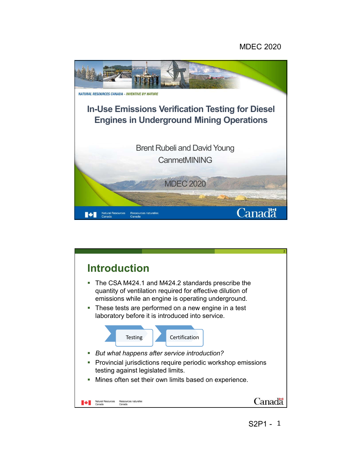## MDEC 2020



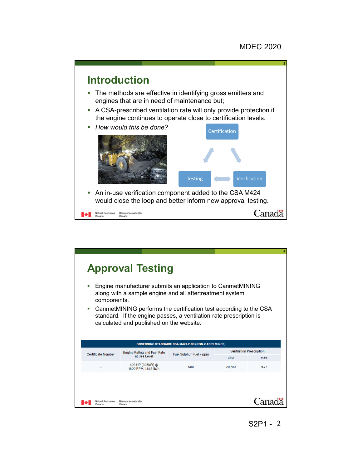

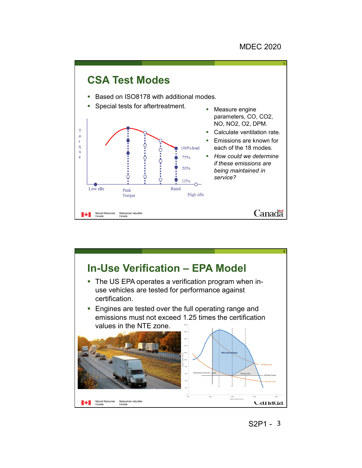

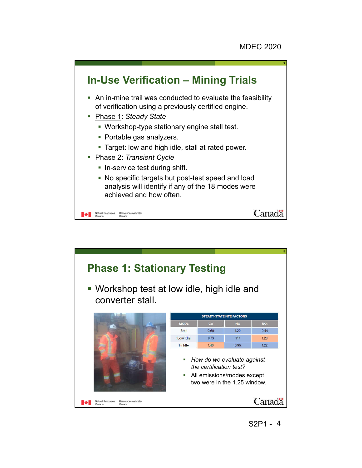

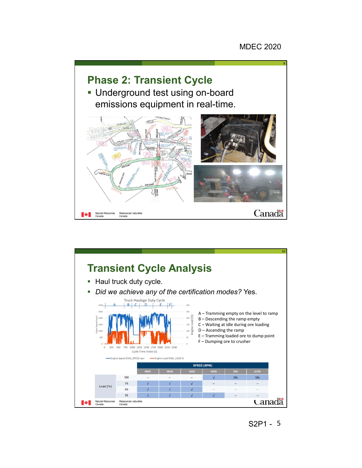



5 S2P1 -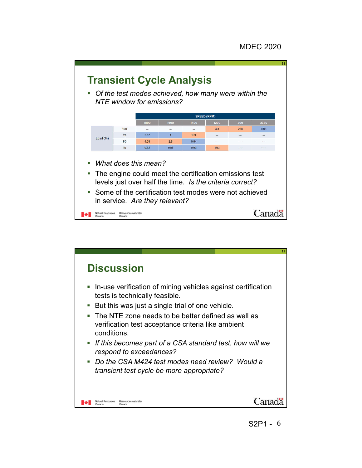